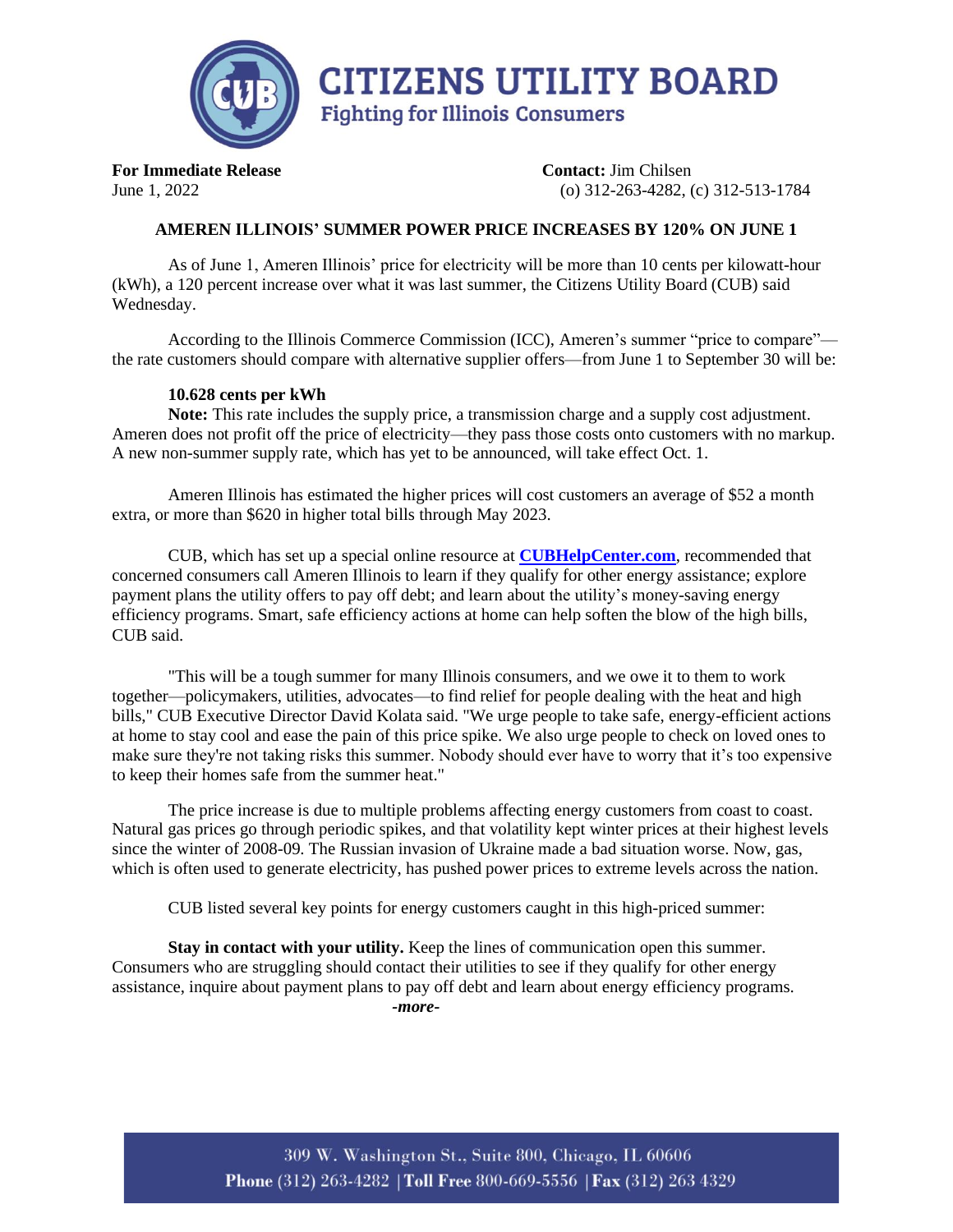

**For Immediate Release Contact:** Jim Chilsen June 1, 2022 (o) 312-263-4282, (c) 312-513-1784

## **AMEREN ILLINOIS' SUMMER POWER PRICE INCREASES BY 120% ON JUNE 1**

As of June 1, Ameren Illinois' price for electricity will be more than 10 cents per kilowatt-hour (kWh), a 120 percent increase over what it was last summer, the Citizens Utility Board (CUB) said Wednesday.

According to the Illinois Commerce Commission (ICC), Ameren's summer "price to compare" the rate customers should compare with alternative supplier offers—from June 1 to September 30 will be:

## **10.628 cents per kWh**

**Note:** This rate includes the supply price, a transmission charge and a supply cost adjustment. Ameren does not profit off the price of electricity—they pass those costs onto customers with no markup. A new non-summer supply rate, which has yet to be announced, will take effect Oct. 1.

Ameren Illinois has estimated the higher prices will cost customers an average of \$52 a month extra, or more than \$620 in higher total bills through May 2023.

CUB, which has set up a special online resource at **[CUBHelpCenter.com](https://www.citizensutilityboard.org/welcome-cubs-help-center/)**, recommended that concerned consumers call Ameren Illinois to learn if they qualify for other energy assistance; explore payment plans the utility offers to pay off debt; and learn about the utility's money-saving energy efficiency programs. Smart, safe efficiency actions at home can help soften the blow of the high bills, CUB said.

"This will be a tough summer for many Illinois consumers, and we owe it to them to work together—policymakers, utilities, advocates—to find relief for people dealing with the heat and high bills," CUB Executive Director David Kolata said. "We urge people to take safe, energy-efficient actions at home to stay cool and ease the pain of this price spike. We also urge people to check on loved ones to make sure they're not taking risks this summer. Nobody should ever have to worry that it's too expensive to keep their homes safe from the summer heat."

The price increase is due to multiple problems affecting energy customers from coast to coast. Natural gas prices go through periodic spikes, and that volatility kept winter prices at their highest levels since the winter of 2008-09. The Russian invasion of Ukraine made a bad situation worse. Now, gas, which is often used to generate electricity, has pushed power prices to extreme levels across the nation.

CUB listed several key points for energy customers caught in this high-priced summer:

**Stay in contact with your utility.** Keep the lines of communication open this summer. Consumers who are struggling should contact their utilities to see if they qualify for other energy assistance, inquire about payment plans to pay off debt and learn about energy efficiency programs. *-more-*